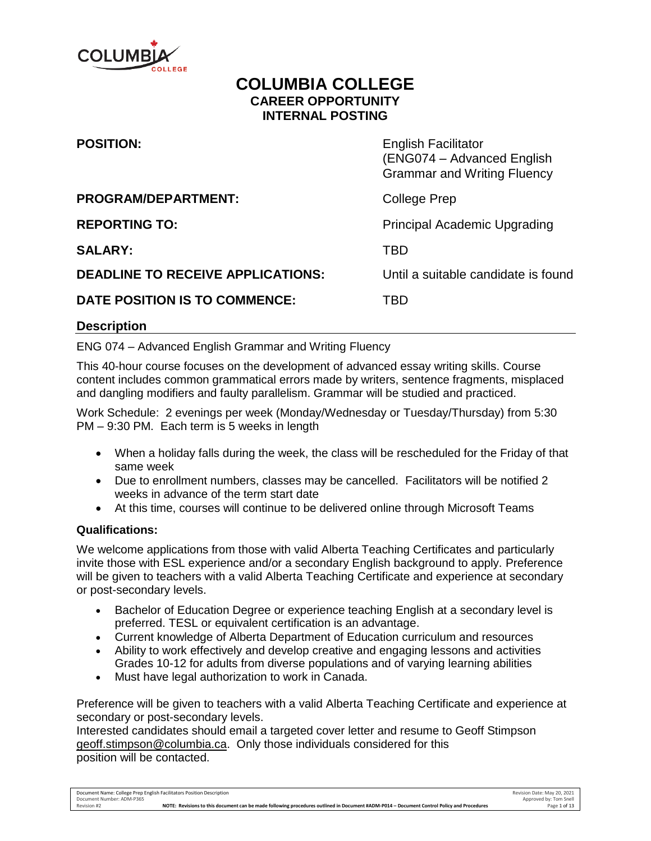

# **COLUMBIA COLLEGE CAREER OPPORTUNITY INTERNAL POSTING**

| <b>POSITION:</b>                         | <b>English Facilitator</b><br>(ENG074 - Advanced English<br><b>Grammar and Writing Fluency</b> |
|------------------------------------------|------------------------------------------------------------------------------------------------|
| <b>PROGRAM/DEPARTMENT:</b>               | College Prep                                                                                   |
| <b>REPORTING TO:</b>                     | <b>Principal Academic Upgrading</b>                                                            |
| <b>SALARY:</b>                           | TBD                                                                                            |
| <b>DEADLINE TO RECEIVE APPLICATIONS:</b> | Until a suitable candidate is found                                                            |
| DATE POSITION IS TO COMMENCE:            | TBD                                                                                            |

#### **Description**

ENG 074 – Advanced English Grammar and Writing Fluency

This 40-hour course focuses on the development of advanced essay writing skills. Course content includes common grammatical errors made by writers, sentence fragments, misplaced and dangling modifiers and faulty parallelism. Grammar will be studied and practiced.

Work Schedule: 2 evenings per week (Monday/Wednesday or Tuesday/Thursday) from 5:30 PM – 9:30 PM. Each term is 5 weeks in length

- When a holiday falls during the week, the class will be rescheduled for the Friday of that same week
- Due to enrollment numbers, classes may be cancelled. Facilitators will be notified 2 weeks in advance of the term start date
- At this time, courses will continue to be delivered online through Microsoft Teams

#### **Qualifications:**

We welcome applications from those with valid Alberta Teaching Certificates and particularly invite those with ESL experience and/or a secondary English background to apply. Preference will be given to teachers with a valid Alberta Teaching Certificate and experience at secondary or post-secondary levels.

- Bachelor of Education Degree or experience teaching English at a secondary level is preferred. TESL or equivalent certification is an advantage.
- Current knowledge of Alberta Department of Education curriculum and resources
- Ability to work effectively and develop creative and engaging lessons and activities Grades 10-12 for adults from diverse populations and of varying learning abilities
- Must have legal authorization to work in Canada.

Preference will be given to teachers with a valid Alberta Teaching Certificate and experience at secondary or post-secondary levels.

Interested candidates should email a targeted cover letter and resume to Geoff Stimpson [geoff.stimpson@columbia.ca.](mailto:geoff.stimpson@columbia.ca) Only those individuals considered for this position will be contacted.

Document Name: College Prep English Facilitators Position Description Revision Date: May 20, 2021 Document Number: ADM-P365 Approved by: Tom Snell Revision #2 **NOTE: Revisions to this document can be made following procedures outlined in Document #ADM-P014 – Document Control Policy and Procedures** Page 1 of 13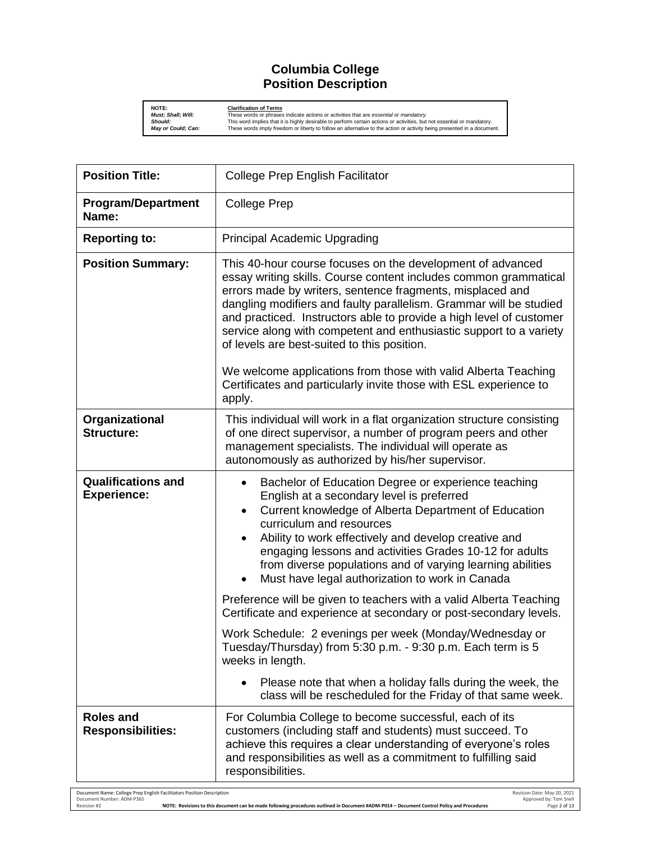#### **Columbia College Position Description**

**NOTE:**<br>Must; Shall; Will: These words or phrases indicate actions or activities that are essential or *mandatory.*<br>Should: This word implies that it is highly desirable to perform certain actions or activities, but not es

| <b>Position Title:</b>                          | <b>College Prep English Facilitator</b>                                                                                                                                                                                                                                                                                                                                                                                                                       |
|-------------------------------------------------|---------------------------------------------------------------------------------------------------------------------------------------------------------------------------------------------------------------------------------------------------------------------------------------------------------------------------------------------------------------------------------------------------------------------------------------------------------------|
| <b>Program/Department</b><br>Name:              | <b>College Prep</b>                                                                                                                                                                                                                                                                                                                                                                                                                                           |
| <b>Reporting to:</b>                            | <b>Principal Academic Upgrading</b>                                                                                                                                                                                                                                                                                                                                                                                                                           |
| <b>Position Summary:</b>                        | This 40-hour course focuses on the development of advanced<br>essay writing skills. Course content includes common grammatical<br>errors made by writers, sentence fragments, misplaced and<br>dangling modifiers and faulty parallelism. Grammar will be studied<br>and practiced. Instructors able to provide a high level of customer<br>service along with competent and enthusiastic support to a variety<br>of levels are best-suited to this position. |
|                                                 | We welcome applications from those with valid Alberta Teaching<br>Certificates and particularly invite those with ESL experience to<br>apply.                                                                                                                                                                                                                                                                                                                 |
| Organizational<br><b>Structure:</b>             | This individual will work in a flat organization structure consisting<br>of one direct supervisor, a number of program peers and other<br>management specialists. The individual will operate as<br>autonomously as authorized by his/her supervisor.                                                                                                                                                                                                         |
| <b>Qualifications and</b><br><b>Experience:</b> | Bachelor of Education Degree or experience teaching<br>English at a secondary level is preferred<br>Current knowledge of Alberta Department of Education<br>$\bullet$<br>curriculum and resources<br>Ability to work effectively and develop creative and<br>$\bullet$<br>engaging lessons and activities Grades 10-12 for adults<br>from diverse populations and of varying learning abilities<br>Must have legal authorization to work in Canada            |
|                                                 | Preference will be given to teachers with a valid Alberta Teaching<br>Certificate and experience at secondary or post-secondary levels.                                                                                                                                                                                                                                                                                                                       |
|                                                 | Work Schedule: 2 evenings per week (Monday/Wednesday or<br>Tuesday/Thursday) from 5:30 p.m. - 9:30 p.m. Each term is 5<br>weeks in length.                                                                                                                                                                                                                                                                                                                    |
|                                                 | Please note that when a holiday falls during the week, the<br>class will be rescheduled for the Friday of that same week.                                                                                                                                                                                                                                                                                                                                     |
| <b>Roles and</b><br><b>Responsibilities:</b>    | For Columbia College to become successful, each of its<br>customers (including staff and students) must succeed. To<br>achieve this requires a clear understanding of everyone's roles<br>and responsibilities as well as a commitment to fulfilling said<br>responsibilities.                                                                                                                                                                                |

Document Name: College Prep English Facilitators Position Description<br>Document ADM-P365 Pocument ADM-P014 - Document Control Policy and Procedures<br>Revision #2 Revision #2 **NOTE: Revisions to this document can be made follo**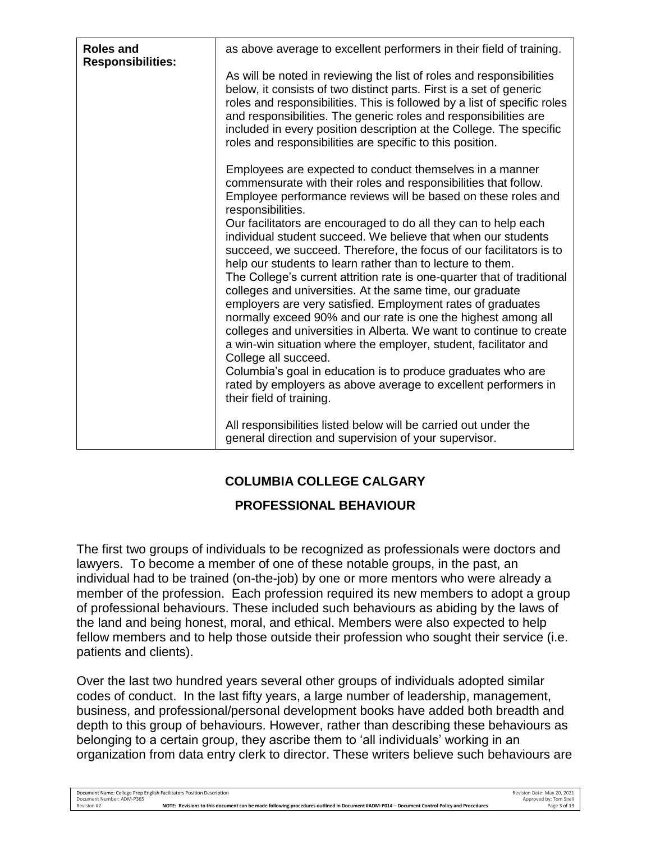| <b>Roles and</b><br><b>Responsibilities:</b> | as above average to excellent performers in their field of training.                                                                                                                                                                                                                                                                                                                                                                                                                                                                                                                                                                                                                                                                                                                                                                                                                                                                                                                                  |
|----------------------------------------------|-------------------------------------------------------------------------------------------------------------------------------------------------------------------------------------------------------------------------------------------------------------------------------------------------------------------------------------------------------------------------------------------------------------------------------------------------------------------------------------------------------------------------------------------------------------------------------------------------------------------------------------------------------------------------------------------------------------------------------------------------------------------------------------------------------------------------------------------------------------------------------------------------------------------------------------------------------------------------------------------------------|
|                                              | As will be noted in reviewing the list of roles and responsibilities<br>below, it consists of two distinct parts. First is a set of generic<br>roles and responsibilities. This is followed by a list of specific roles<br>and responsibilities. The generic roles and responsibilities are<br>included in every position description at the College. The specific<br>roles and responsibilities are specific to this position.                                                                                                                                                                                                                                                                                                                                                                                                                                                                                                                                                                       |
|                                              | Employees are expected to conduct themselves in a manner<br>commensurate with their roles and responsibilities that follow.<br>Employee performance reviews will be based on these roles and<br>responsibilities.<br>Our facilitators are encouraged to do all they can to help each<br>individual student succeed. We believe that when our students<br>succeed, we succeed. Therefore, the focus of our facilitators is to<br>help our students to learn rather than to lecture to them.<br>The College's current attrition rate is one-quarter that of traditional<br>colleges and universities. At the same time, our graduate<br>employers are very satisfied. Employment rates of graduates<br>normally exceed 90% and our rate is one the highest among all<br>colleges and universities in Alberta. We want to continue to create<br>a win-win situation where the employer, student, facilitator and<br>College all succeed.<br>Columbia's goal in education is to produce graduates who are |
|                                              | rated by employers as above average to excellent performers in<br>their field of training.<br>All responsibilities listed below will be carried out under the                                                                                                                                                                                                                                                                                                                                                                                                                                                                                                                                                                                                                                                                                                                                                                                                                                         |
|                                              | general direction and supervision of your supervisor.                                                                                                                                                                                                                                                                                                                                                                                                                                                                                                                                                                                                                                                                                                                                                                                                                                                                                                                                                 |

# **COLUMBIA COLLEGE CALGARY**

# **PROFESSIONAL BEHAVIOUR**

The first two groups of individuals to be recognized as professionals were doctors and lawyers. To become a member of one of these notable groups, in the past, an individual had to be trained (on-the-job) by one or more mentors who were already a member of the profession. Each profession required its new members to adopt a group of professional behaviours. These included such behaviours as abiding by the laws of the land and being honest, moral, and ethical. Members were also expected to help fellow members and to help those outside their profession who sought their service (i.e. patients and clients).

Over the last two hundred years several other groups of individuals adopted similar codes of conduct. In the last fifty years, a large number of leadership, management, business, and professional/personal development books have added both breadth and depth to this group of behaviours. However, rather than describing these behaviours as belonging to a certain group, they ascribe them to 'all individuals' working in an organization from data entry clerk to director. These writers believe such behaviours are

Revision #2 **NOTE: Revisions to this document can be made following procedures outlined in Document #ADM-P014 – Document Control Policy and Procedures** Page 3 of 13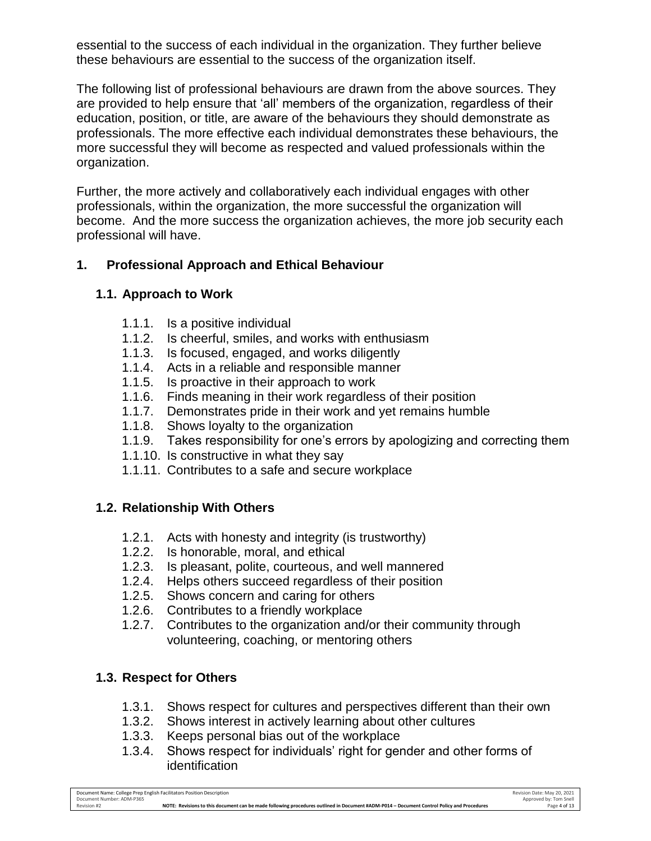essential to the success of each individual in the organization. They further believe these behaviours are essential to the success of the organization itself.

The following list of professional behaviours are drawn from the above sources. They are provided to help ensure that 'all' members of the organization, regardless of their education, position, or title, are aware of the behaviours they should demonstrate as professionals. The more effective each individual demonstrates these behaviours, the more successful they will become as respected and valued professionals within the organization.

Further, the more actively and collaboratively each individual engages with other professionals, within the organization, the more successful the organization will become. And the more success the organization achieves, the more job security each professional will have.

### **1. Professional Approach and Ethical Behaviour**

### **1.1. Approach to Work**

- 1.1.1. Is a positive individual
- 1.1.2. Is cheerful, smiles, and works with enthusiasm
- 1.1.3. Is focused, engaged, and works diligently
- 1.1.4. Acts in a reliable and responsible manner
- 1.1.5. Is proactive in their approach to work
- 1.1.6. Finds meaning in their work regardless of their position
- 1.1.7. Demonstrates pride in their work and yet remains humble
- 1.1.8. Shows loyalty to the organization
- 1.1.9. Takes responsibility for one's errors by apologizing and correcting them
- 1.1.10. Is constructive in what they say
- 1.1.11. Contributes to a safe and secure workplace

### **1.2. Relationship With Others**

- 1.2.1. Acts with honesty and integrity (is trustworthy)
- 1.2.2. Is honorable, moral, and ethical
- 1.2.3. Is pleasant, polite, courteous, and well mannered
- 1.2.4. Helps others succeed regardless of their position
- 1.2.5. Shows concern and caring for others
- 1.2.6. Contributes to a friendly workplace
- 1.2.7. Contributes to the organization and/or their community through volunteering, coaching, or mentoring others

# **1.3. Respect for Others**

- 1.3.1. Shows respect for cultures and perspectives different than their own
- 1.3.2. Shows interest in actively learning about other cultures
- 1.3.3. Keeps personal bias out of the workplace
- 1.3.4. Shows respect for individuals' right for gender and other forms of identification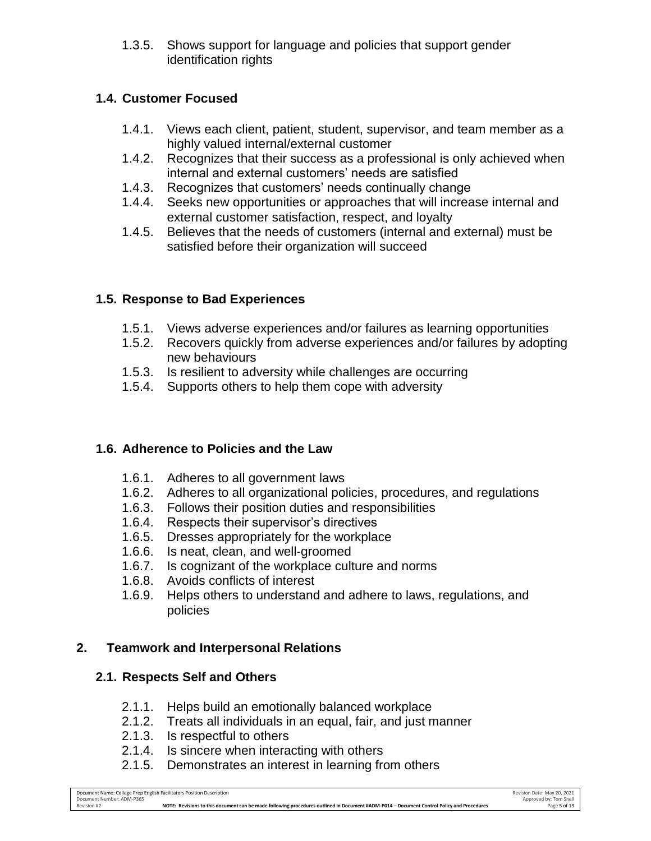1.3.5. Shows support for language and policies that support gender identification rights

### **1.4. Customer Focused**

- 1.4.1. Views each client, patient, student, supervisor, and team member as a highly valued internal/external customer
- 1.4.2. Recognizes that their success as a professional is only achieved when internal and external customers' needs are satisfied
- 1.4.3. Recognizes that customers' needs continually change
- 1.4.4. Seeks new opportunities or approaches that will increase internal and external customer satisfaction, respect, and loyalty
- 1.4.5. Believes that the needs of customers (internal and external) must be satisfied before their organization will succeed

# **1.5. Response to Bad Experiences**

- 1.5.1. Views adverse experiences and/or failures as learning opportunities
- 1.5.2. Recovers quickly from adverse experiences and/or failures by adopting new behaviours
- 1.5.3. Is resilient to adversity while challenges are occurring
- 1.5.4. Supports others to help them cope with adversity

# **1.6. Adherence to Policies and the Law**

- 1.6.1. Adheres to all government laws
- 1.6.2. Adheres to all organizational policies, procedures, and regulations
- 1.6.3. Follows their position duties and responsibilities
- 1.6.4. Respects their supervisor's directives
- 1.6.5. Dresses appropriately for the workplace
- 1.6.6. Is neat, clean, and well-groomed
- 1.6.7. Is cognizant of the workplace culture and norms
- 1.6.8. Avoids conflicts of interest
- 1.6.9. Helps others to understand and adhere to laws, regulations, and policies

# **2. Teamwork and Interpersonal Relations**

# **2.1. Respects Self and Others**

- 2.1.1. Helps build an emotionally balanced workplace
- 2.1.2. Treats all individuals in an equal, fair, and just manner
- 2.1.3. Is respectful to others
- 2.1.4. Is sincere when interacting with others
- 2.1.5. Demonstrates an interest in learning from others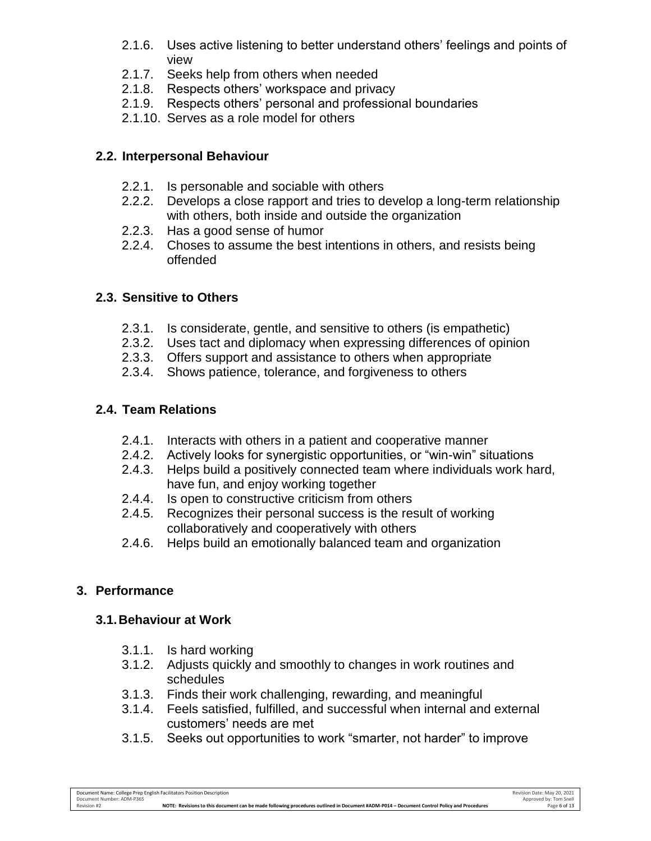- 2.1.6. Uses active listening to better understand others' feelings and points of view
- 2.1.7. Seeks help from others when needed
- 2.1.8. Respects others' workspace and privacy
- 2.1.9. Respects others' personal and professional boundaries
- 2.1.10. Serves as a role model for others

### **2.2. Interpersonal Behaviour**

- 2.2.1. Is personable and sociable with others
- 2.2.2. Develops a close rapport and tries to develop a long-term relationship with others, both inside and outside the organization
- 2.2.3. Has a good sense of humor
- 2.2.4. Choses to assume the best intentions in others, and resists being offended

### **2.3. Sensitive to Others**

- 2.3.1. Is considerate, gentle, and sensitive to others (is empathetic)
- 2.3.2. Uses tact and diplomacy when expressing differences of opinion
- 2.3.3. Offers support and assistance to others when appropriate
- 2.3.4. Shows patience, tolerance, and forgiveness to others

### **2.4. Team Relations**

- 2.4.1. Interacts with others in a patient and cooperative manner
- 2.4.2. Actively looks for synergistic opportunities, or "win-win" situations
- 2.4.3. Helps build a positively connected team where individuals work hard, have fun, and enjoy working together
- 2.4.4. Is open to constructive criticism from others
- 2.4.5. Recognizes their personal success is the result of working collaboratively and cooperatively with others
- 2.4.6. Helps build an emotionally balanced team and organization

### **3. Performance**

#### **3.1.Behaviour at Work**

- 3.1.1. Is hard working
- 3.1.2. Adjusts quickly and smoothly to changes in work routines and schedules
- 3.1.3. Finds their work challenging, rewarding, and meaningful
- 3.1.4. Feels satisfied, fulfilled, and successful when internal and external customers' needs are met
- 3.1.5. Seeks out opportunities to work "smarter, not harder" to improve

Revision #2 **NOTE: Revisions to this document can be made following procedures outlined in Document #ADM-P014 – Document Control Policy and Procedures** Page 6 of 13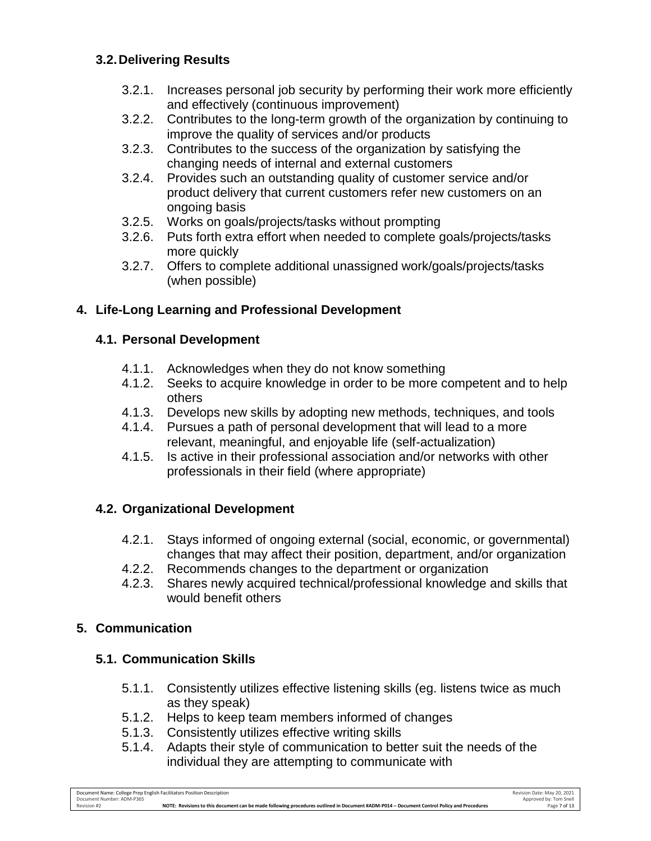### **3.2.Delivering Results**

- 3.2.1. Increases personal job security by performing their work more efficiently and effectively (continuous improvement)
- 3.2.2. Contributes to the long-term growth of the organization by continuing to improve the quality of services and/or products
- 3.2.3. Contributes to the success of the organization by satisfying the changing needs of internal and external customers
- 3.2.4. Provides such an outstanding quality of customer service and/or product delivery that current customers refer new customers on an ongoing basis
- 3.2.5. Works on goals/projects/tasks without prompting
- 3.2.6. Puts forth extra effort when needed to complete goals/projects/tasks more quickly
- 3.2.7. Offers to complete additional unassigned work/goals/projects/tasks (when possible)

# **4. Life-Long Learning and Professional Development**

### **4.1. Personal Development**

- 4.1.1. Acknowledges when they do not know something
- 4.1.2. Seeks to acquire knowledge in order to be more competent and to help others
- 4.1.3. Develops new skills by adopting new methods, techniques, and tools
- 4.1.4. Pursues a path of personal development that will lead to a more relevant, meaningful, and enjoyable life (self-actualization)
- 4.1.5. Is active in their professional association and/or networks with other professionals in their field (where appropriate)

# **4.2. Organizational Development**

- 4.2.1. Stays informed of ongoing external (social, economic, or governmental) changes that may affect their position, department, and/or organization
- 4.2.2. Recommends changes to the department or organization
- 4.2.3. Shares newly acquired technical/professional knowledge and skills that would benefit others

# **5. Communication**

# **5.1. Communication Skills**

- 5.1.1. Consistently utilizes effective listening skills (eg. listens twice as much as they speak)
- 5.1.2. Helps to keep team members informed of changes
- 5.1.3. Consistently utilizes effective writing skills
- 5.1.4. Adapts their style of communication to better suit the needs of the individual they are attempting to communicate with

Document Name: College Prep English Facilitators Position Description Revision Date: May 20, 2021 Document Number: ADM-P365 Approved by: Tom Snell Revision #2 **NOTE: Revisions to this document can be made following procedures outlined in Document #ADM-P014 – Document Control Policy and Procedures** Page 7 of 13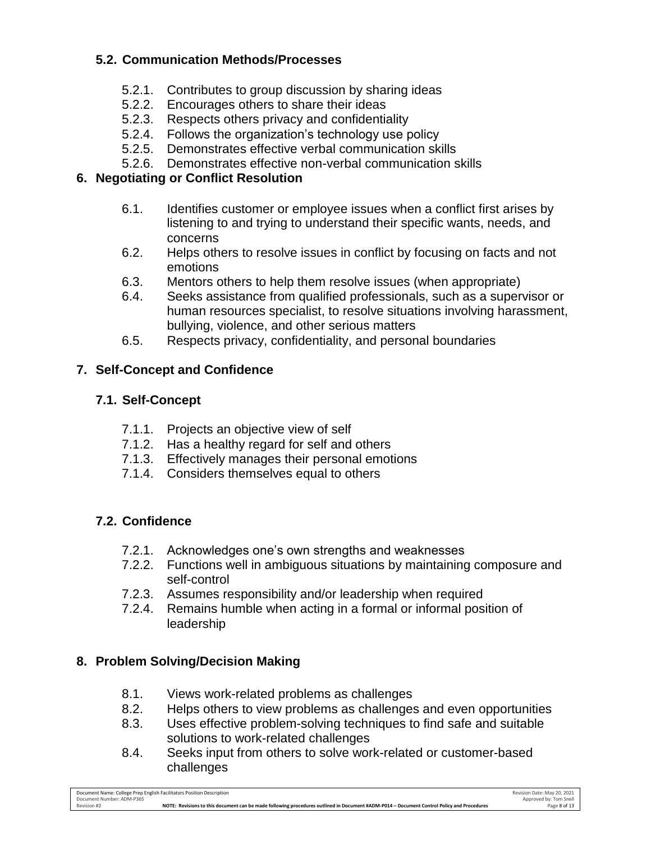### **5.2. Communication Methods/Processes**

- 5.2.1. Contributes to group discussion by sharing ideas
- 5.2.2. Encourages others to share their ideas
- 5.2.3. Respects others privacy and confidentiality
- 5.2.4. Follows the organization's technology use policy
- 5.2.5. Demonstrates effective verbal communication skills
- 5.2.6. Demonstrates effective non-verbal communication skills

### **6. Negotiating or Conflict Resolution**

- 6.1. Identifies customer or employee issues when a conflict first arises by listening to and trying to understand their specific wants, needs, and concerns
- 6.2. Helps others to resolve issues in conflict by focusing on facts and not emotions
- 6.3. Mentors others to help them resolve issues (when appropriate)
- 6.4. Seeks assistance from qualified professionals, such as a supervisor or human resources specialist, to resolve situations involving harassment, bullying, violence, and other serious matters
- 6.5. Respects privacy, confidentiality, and personal boundaries

# **7. Self-Concept and Confidence**

# **7.1. Self-Concept**

- 7.1.1. Projects an objective view of self
- 7.1.2. Has a healthy regard for self and others
- 7.1.3. Effectively manages their personal emotions
- 7.1.4. Considers themselves equal to others

# **7.2. Confidence**

- 7.2.1. Acknowledges one's own strengths and weaknesses
- 7.2.2. Functions well in ambiguous situations by maintaining composure and self-control
- 7.2.3. Assumes responsibility and/or leadership when required
- 7.2.4. Remains humble when acting in a formal or informal position of leadership

# **8. Problem Solving/Decision Making**

- 8.1. Views work-related problems as challenges
- 8.2. Helps others to view problems as challenges and even opportunities
- 8.3. Uses effective problem-solving techniques to find safe and suitable solutions to work-related challenges
- 8.4. Seeks input from others to solve work-related or customer-based challenges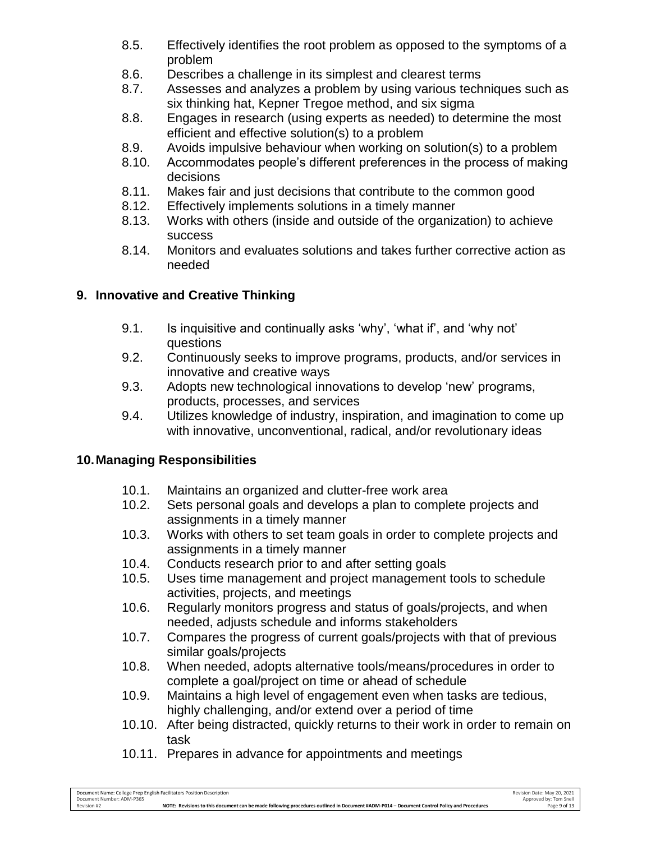- 8.5. Effectively identifies the root problem as opposed to the symptoms of a problem
- 8.6. Describes a challenge in its simplest and clearest terms
- 8.7. Assesses and analyzes a problem by using various techniques such as six thinking hat, Kepner Tregoe method, and six sigma
- 8.8. Engages in research (using experts as needed) to determine the most efficient and effective solution(s) to a problem
- 8.9. Avoids impulsive behaviour when working on solution(s) to a problem
- 8.10. Accommodates people's different preferences in the process of making decisions
- 8.11. Makes fair and just decisions that contribute to the common good
- 8.12. Effectively implements solutions in a timely manner
- 8.13. Works with others (inside and outside of the organization) to achieve success
- 8.14. Monitors and evaluates solutions and takes further corrective action as needed

# **9. Innovative and Creative Thinking**

- 9.1. Is inquisitive and continually asks 'why', 'what if', and 'why not' questions
- 9.2. Continuously seeks to improve programs, products, and/or services in innovative and creative ways
- 9.3. Adopts new technological innovations to develop 'new' programs, products, processes, and services
- 9.4. Utilizes knowledge of industry, inspiration, and imagination to come up with innovative, unconventional, radical, and/or revolutionary ideas

# **10.Managing Responsibilities**

- 10.1. Maintains an organized and clutter-free work area
- 10.2. Sets personal goals and develops a plan to complete projects and assignments in a timely manner
- 10.3. Works with others to set team goals in order to complete projects and assignments in a timely manner
- 10.4. Conducts research prior to and after setting goals
- 10.5. Uses time management and project management tools to schedule activities, projects, and meetings
- 10.6. Regularly monitors progress and status of goals/projects, and when needed, adjusts schedule and informs stakeholders
- 10.7. Compares the progress of current goals/projects with that of previous similar goals/projects
- 10.8. When needed, adopts alternative tools/means/procedures in order to complete a goal/project on time or ahead of schedule
- 10.9. Maintains a high level of engagement even when tasks are tedious, highly challenging, and/or extend over a period of time
- 10.10. After being distracted, quickly returns to their work in order to remain on task
- 10.11. Prepares in advance for appointments and meetings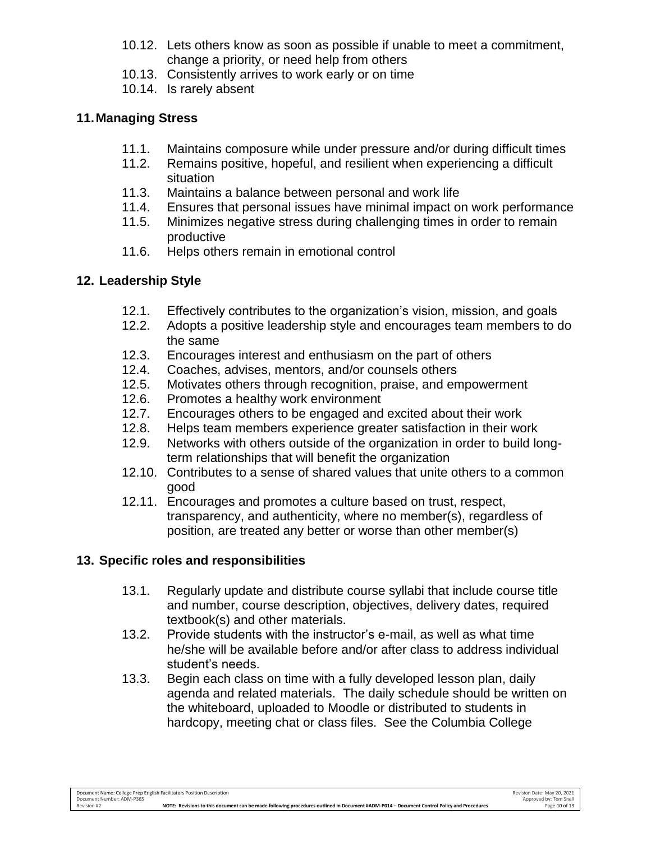- 10.12. Lets others know as soon as possible if unable to meet a commitment, change a priority, or need help from others
- 10.13. Consistently arrives to work early or on time
- 10.14. Is rarely absent

# **11.Managing Stress**

- 11.1. Maintains composure while under pressure and/or during difficult times
- 11.2. Remains positive, hopeful, and resilient when experiencing a difficult situation
- 11.3. Maintains a balance between personal and work life
- 11.4. Ensures that personal issues have minimal impact on work performance
- 11.5. Minimizes negative stress during challenging times in order to remain productive
- 11.6. Helps others remain in emotional control

# **12. Leadership Style**

- 12.1. Effectively contributes to the organization's vision, mission, and goals
- 12.2. Adopts a positive leadership style and encourages team members to do the same
- 12.3. Encourages interest and enthusiasm on the part of others
- 12.4. Coaches, advises, mentors, and/or counsels others
- 12.5. Motivates others through recognition, praise, and empowerment
- 12.6. Promotes a healthy work environment
- 12.7. Encourages others to be engaged and excited about their work
- 12.8. Helps team members experience greater satisfaction in their work
- 12.9. Networks with others outside of the organization in order to build longterm relationships that will benefit the organization
- 12.10. Contributes to a sense of shared values that unite others to a common good
- 12.11. Encourages and promotes a culture based on trust, respect, transparency, and authenticity, where no member(s), regardless of position, are treated any better or worse than other member(s)

# **13. Specific roles and responsibilities**

- 13.1. Regularly update and distribute course syllabi that include course title and number, course description, objectives, delivery dates, required textbook(s) and other materials.
- 13.2. Provide students with the instructor's e-mail, as well as what time he/she will be available before and/or after class to address individual student's needs.
- 13.3. Begin each class on time with a fully developed lesson plan, daily agenda and related materials. The daily schedule should be written on the whiteboard, uploaded to Moodle or distributed to students in hardcopy, meeting chat or class files. See the Columbia College

Revision #2 **NOTE: Revisions to this document can be made following procedures outlined in Document #ADM-P014 – Document Control Policy and Procedures** Page 10 of 13